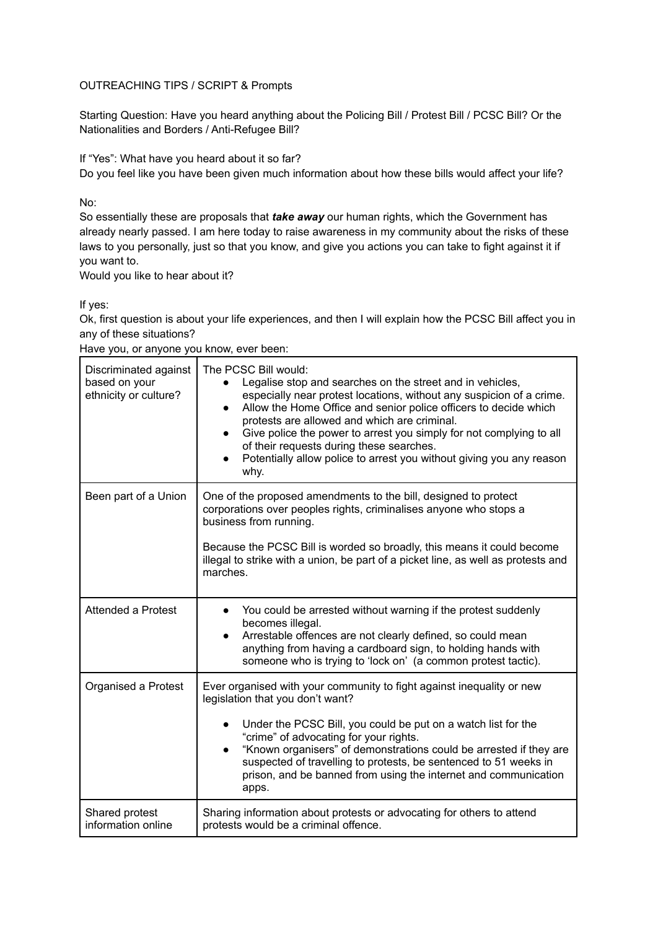#### OUTREACHING TIPS / SCRIPT & Prompts

Starting Question: Have you heard anything about the Policing Bill / Protest Bill / PCSC Bill? Or the Nationalities and Borders / Anti-Refugee Bill?

If "Yes": What have you heard about it so far?

Do you feel like you have been given much information about how these bills would affect your life?

No:

So essentially these are proposals that *take away* our human rights, which the Government has already nearly passed. I am here today to raise awareness in my community about the risks of these laws to you personally, just so that you know, and give you actions you can take to fight against it if you want to.

Would you like to hear about it?

If yes:

Ok, first question is about your life experiences, and then I will explain how the PCSC Bill affect you in any of these situations?

|  | Have you, or anyone you know, ever been: |  |  |
|--|------------------------------------------|--|--|
|--|------------------------------------------|--|--|

| Discriminated against<br>based on your<br>ethnicity or culture? | The PCSC Bill would:<br>Legalise stop and searches on the street and in vehicles,<br>$\bullet$<br>especially near protest locations, without any suspicion of a crime.<br>Allow the Home Office and senior police officers to decide which<br>$\bullet$<br>protests are allowed and which are criminal.<br>Give police the power to arrest you simply for not complying to all<br>$\bullet$<br>of their requests during these searches.<br>Potentially allow police to arrest you without giving you any reason<br>$\bullet$<br>why. |  |
|-----------------------------------------------------------------|--------------------------------------------------------------------------------------------------------------------------------------------------------------------------------------------------------------------------------------------------------------------------------------------------------------------------------------------------------------------------------------------------------------------------------------------------------------------------------------------------------------------------------------|--|
| Been part of a Union                                            | One of the proposed amendments to the bill, designed to protect<br>corporations over peoples rights, criminalises anyone who stops a<br>business from running.<br>Because the PCSC Bill is worded so broadly, this means it could become<br>illegal to strike with a union, be part of a picket line, as well as protests and<br>marches.                                                                                                                                                                                            |  |
| <b>Attended a Protest</b>                                       | You could be arrested without warning if the protest suddenly<br>$\bullet$<br>becomes illegal.<br>Arrestable offences are not clearly defined, so could mean<br>$\bullet$<br>anything from having a cardboard sign, to holding hands with<br>someone who is trying to 'lock on' (a common protest tactic).                                                                                                                                                                                                                           |  |
| Organised a Protest                                             | Ever organised with your community to fight against inequality or new<br>legislation that you don't want?<br>Under the PCSC Bill, you could be put on a watch list for the<br>$\bullet$<br>"crime" of advocating for your rights.<br>"Known organisers" of demonstrations could be arrested if they are<br>$\bullet$<br>suspected of travelling to protests, be sentenced to 51 weeks in<br>prison, and be banned from using the internet and communication<br>apps.                                                                 |  |
| Shared protest<br>information online                            | Sharing information about protests or advocating for others to attend<br>protests would be a criminal offence.                                                                                                                                                                                                                                                                                                                                                                                                                       |  |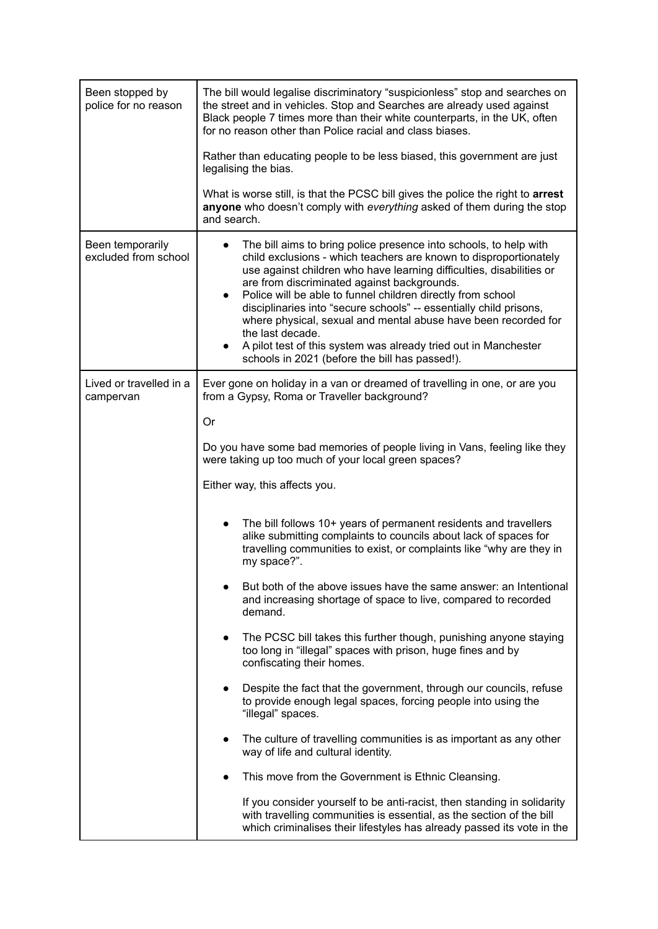| Been stopped by<br>police for no reason  | The bill would legalise discriminatory "suspicionless" stop and searches on<br>the street and in vehicles. Stop and Searches are already used against<br>Black people 7 times more than their white counterparts, in the UK, often<br>for no reason other than Police racial and class biases.                                                                                                                                                                                                                                                                                                                             |  |
|------------------------------------------|----------------------------------------------------------------------------------------------------------------------------------------------------------------------------------------------------------------------------------------------------------------------------------------------------------------------------------------------------------------------------------------------------------------------------------------------------------------------------------------------------------------------------------------------------------------------------------------------------------------------------|--|
|                                          | Rather than educating people to be less biased, this government are just<br>legalising the bias.                                                                                                                                                                                                                                                                                                                                                                                                                                                                                                                           |  |
|                                          | What is worse still, is that the PCSC bill gives the police the right to arrest<br>anyone who doesn't comply with everything asked of them during the stop<br>and search.                                                                                                                                                                                                                                                                                                                                                                                                                                                  |  |
| Been temporarily<br>excluded from school | The bill aims to bring police presence into schools, to help with<br>child exclusions - which teachers are known to disproportionately<br>use against children who have learning difficulties, disabilities or<br>are from discriminated against backgrounds.<br>Police will be able to funnel children directly from school<br>$\bullet$<br>disciplinaries into "secure schools" -- essentially child prisons,<br>where physical, sexual and mental abuse have been recorded for<br>the last decade.<br>A pilot test of this system was already tried out in Manchester<br>schools in 2021 (before the bill has passed!). |  |
| Lived or travelled in a<br>campervan     | Ever gone on holiday in a van or dreamed of travelling in one, or are you<br>from a Gypsy, Roma or Traveller background?                                                                                                                                                                                                                                                                                                                                                                                                                                                                                                   |  |
|                                          | Or                                                                                                                                                                                                                                                                                                                                                                                                                                                                                                                                                                                                                         |  |
|                                          | Do you have some bad memories of people living in Vans, feeling like they<br>were taking up too much of your local green spaces?                                                                                                                                                                                                                                                                                                                                                                                                                                                                                           |  |
|                                          | Either way, this affects you.                                                                                                                                                                                                                                                                                                                                                                                                                                                                                                                                                                                              |  |
|                                          | The bill follows 10+ years of permanent residents and travellers<br>alike submitting complaints to councils about lack of spaces for<br>travelling communities to exist, or complaints like "why are they in<br>my space?".                                                                                                                                                                                                                                                                                                                                                                                                |  |
|                                          | But both of the above issues have the same answer: an Intentional<br>and increasing shortage of space to live, compared to recorded<br>demand.                                                                                                                                                                                                                                                                                                                                                                                                                                                                             |  |
|                                          | The PCSC bill takes this further though, punishing anyone staying<br>too long in "illegal" spaces with prison, huge fines and by<br>confiscating their homes.                                                                                                                                                                                                                                                                                                                                                                                                                                                              |  |
|                                          | Despite the fact that the government, through our councils, refuse<br>to provide enough legal spaces, forcing people into using the<br>"illegal" spaces.                                                                                                                                                                                                                                                                                                                                                                                                                                                                   |  |
|                                          | The culture of travelling communities is as important as any other<br>$\bullet$<br>way of life and cultural identity.                                                                                                                                                                                                                                                                                                                                                                                                                                                                                                      |  |
|                                          | This move from the Government is Ethnic Cleansing.                                                                                                                                                                                                                                                                                                                                                                                                                                                                                                                                                                         |  |
|                                          | If you consider yourself to be anti-racist, then standing in solidarity<br>with travelling communities is essential, as the section of the bill<br>which criminalises their lifestyles has already passed its vote in the                                                                                                                                                                                                                                                                                                                                                                                                  |  |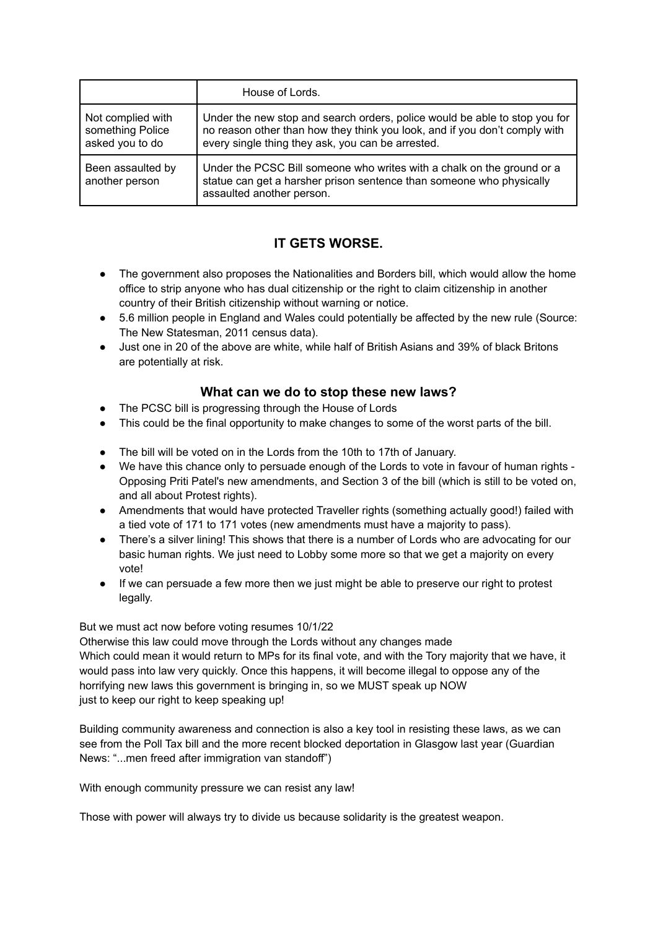|                                                          | House of Lords.                                                                                                                                                                                               |
|----------------------------------------------------------|---------------------------------------------------------------------------------------------------------------------------------------------------------------------------------------------------------------|
| Not complied with<br>something Police<br>asked you to do | Under the new stop and search orders, police would be able to stop you for<br>no reason other than how they think you look, and if you don't comply with<br>every single thing they ask, you can be arrested. |
| Been assaulted by<br>another person                      | Under the PCSC Bill someone who writes with a chalk on the ground or a<br>statue can get a harsher prison sentence than someone who physically<br>assaulted another person.                                   |

# **IT GETS WORSE.**

- The government also proposes the Nationalities and Borders bill, which would allow the home office to strip anyone who has dual citizenship or the right to claim citizenship in another country of their British citizenship without warning or notice.
- 5.6 million people in England and Wales could potentially be affected by the new rule (Source: The New Statesman, 2011 census data).
- Just one in 20 of the above are white, while half of British Asians and 39% of black Britons are potentially at risk.

### **What can we do to stop these new laws?**

- The PCSC bill is progressing through the House of Lords
- This could be the final opportunity to make changes to some of the worst parts of the bill.
- The bill will be voted on in the Lords from the 10th to 17th of January.
- We have this chance only to persuade enough of the Lords to vote in favour of human rights -Opposing Priti Patel's new amendments, and Section 3 of the bill (which is still to be voted on, and all about Protest rights).
- Amendments that would have protected Traveller rights (something actually good!) failed with a tied vote of 171 to 171 votes (new amendments must have a majority to pass).
- There's a silver lining! This shows that there is a number of Lords who are advocating for our basic human rights. We just need to Lobby some more so that we get a majority on every vote!
- If we can persuade a few more then we just might be able to preserve our right to protest legally.

But we must act now before voting resumes 10/1/22

Otherwise this law could move through the Lords without any changes made Which could mean it would return to MPs for its final vote, and with the Tory majority that we have, it would pass into law very quickly. Once this happens, it will become illegal to oppose any of the horrifying new laws this government is bringing in, so we MUST speak up NOW just to keep our right to keep speaking up!

Building community awareness and connection is also a key tool in resisting these laws, as we can see from the Poll Tax bill and the more recent blocked deportation in Glasgow last year (Guardian News: "...men freed after immigration van standoff")

With enough community pressure we can resist any law!

Those with power will always try to divide us because solidarity is the greatest weapon.